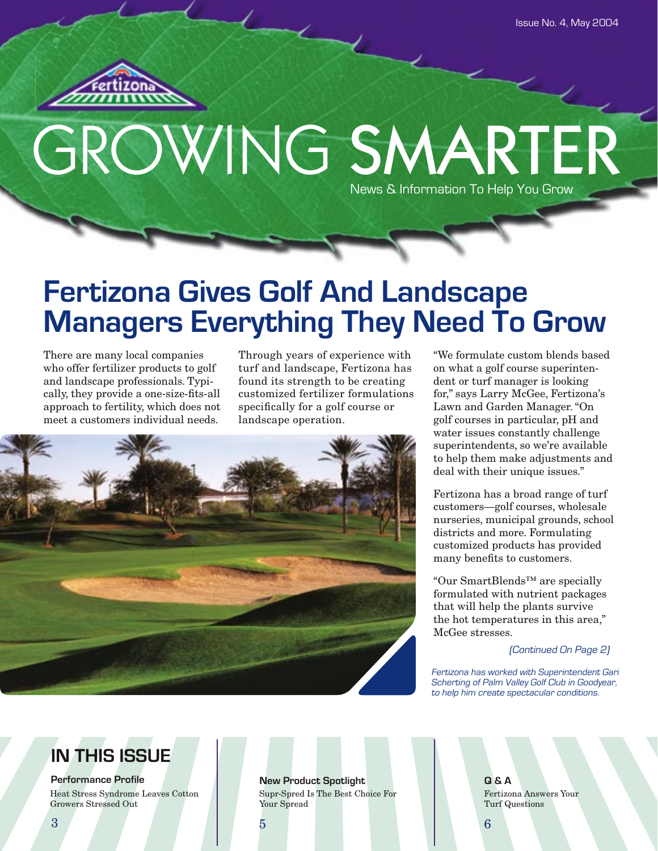

# GROWING SMARTER News & Information To Help You Grow

# **Fertizona Gives Golf And Landscape Managers Everything They Need To Grow**

There are many local companies who offer fertilizer products to golf and landscape professionals. Typically, they provide a one-size-fits-all approach to fertility, which does not meet a customers individual needs.

Through years of experience with turf and landscape, Fertizona has found its strength to be creating customized fertilizer formulations specifically for a golf course or landscape operation.



"We formulate custom blends based on what a golf course superintendent or turf manager is looking for," says Larry McGee, Fertizona's Lawn and Garden Manager. "On golf courses in particular, pH and water issues constantly challenge superintendents, so we're available to help them make adjustments and deal with their unique issues."

Fertizona has a broad range of turf customers—golf courses, wholesale nurseries, municipal grounds, school districts and more. Formulating customized products has provided many benefits to customers.

"Our SmartBlends™ are specially formulated with nutrient packages that will help the plants survive the hot temperatures in this area," McGee stresses.

(Continued On Page 2)

Fertizona has worked with Superintendent Gari Scherting of Palm Valley Golf Club in Goodyear, to help him create spectacular conditions.

## **IN THIS ISSUE**

**Performance Profile**

Heat Stress Syndrome Leaves Cotton Growers Stressed Out

**New Product Spotlight Q & A** Supr-Spred Is The Best Choice For Your Spread

Fertizona Answers Your Turf Questions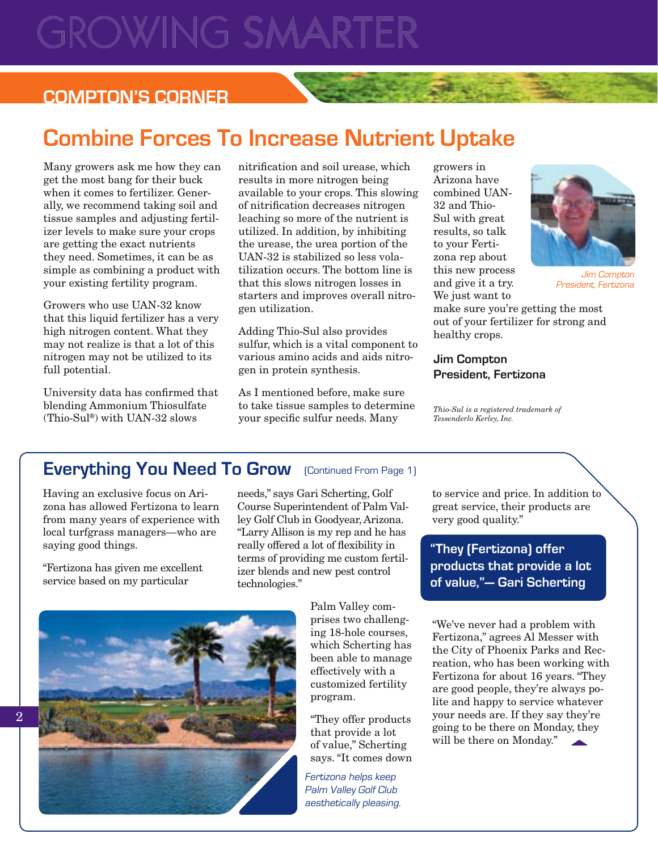# **ROWING SMARTER**

## **COMPTON'S CORNER**

## **Combine Forces To Increase Nutrient Uptake**

Many growers ask me how they can get the most bang for their buck when it comes to fertilizer. Generally, we recommend taking soil and tissue samples and adjusting fertilizer levels to make sure your crops are getting the exact nutrients they need. Sometimes, it can be as simple as combining a product with your existing fertility program.

Growers who use UAN-32 know that this liquid fertilizer has a very high nitrogen content. What they may not realize is that a lot of this nitrogen may not be utilized to its full potential.

University data has confirmed that blending Ammonium Thiosulfate (Thio-Sul®) with UAN-32 slows

nitrification and soil urease, which results in more nitrogen being available to your crops. This slowing of nitrification decreases nitrogen leaching so more of the nutrient is utilized. In addition, by inhibiting the urease, the urea portion of the UAN-32 is stabilized so less volatilization occurs. The bottom line is that this slows nitrogen losses in starters and improves overall nitrogen utilization.

Adding Thio-Sul also provides sulfur, which is a vital component to various amino acids and aids nitrogen in protein synthesis.

As I mentioned before, make sure to take tissue samples to determine your specific sulfur needs. Many

growers in Arizona have combined UAN-32 and Thio-Sul with great results, so talk to your Fertizona rep about this new process and give it a try. We just want to



Jim Compton President, Fertizona

make sure you're getting the most out of your fertilizer for strong and healthy crops.

#### **Jim Compton President, Fertizona**

*Thio-Sul is a registered trademark of Tessenderlo Kerley, Inc.*

### **Everything You Need To Grow** (Continued From Page 1)

Having an exclusive focus on Arizona has allowed Fertizona to learn from many years of experience with local turfgrass managers—who are saying good things.

"Fertizona has given me excellent service based on my particular

needs," says Gari Scherting, Golf Course Superintendent of Palm Valley Golf Club in Goodyear, Arizona. "Larry Allison is my rep and he has really offered a lot of flexibility in terms of providing me custom fertilizer blends and new pest control technologies."

> Palm Valley comprises two challenging 18-hole courses, which Scherting has been able to manage effectively with a customized fertility program.

"They offer products that provide a lot of value," Scherting says. "It comes down

Fertizona helps keep Palm Valley Golf Club aesthetically pleasing. to service and price. In addition to great service, their products are very good quality."

**"They (Fertizona) offer products that provide a lot of value," — Gari Scherting** 

"We've never had a problem with Fertizona," agrees Al Messer with the City of Phoenix Parks and Recreation, who has been working with Fertizona for about 16 years. "They are good people, they're always polite and happy to service whatever your needs are. If they say they're going to be there on Monday, they will be there on Monday."



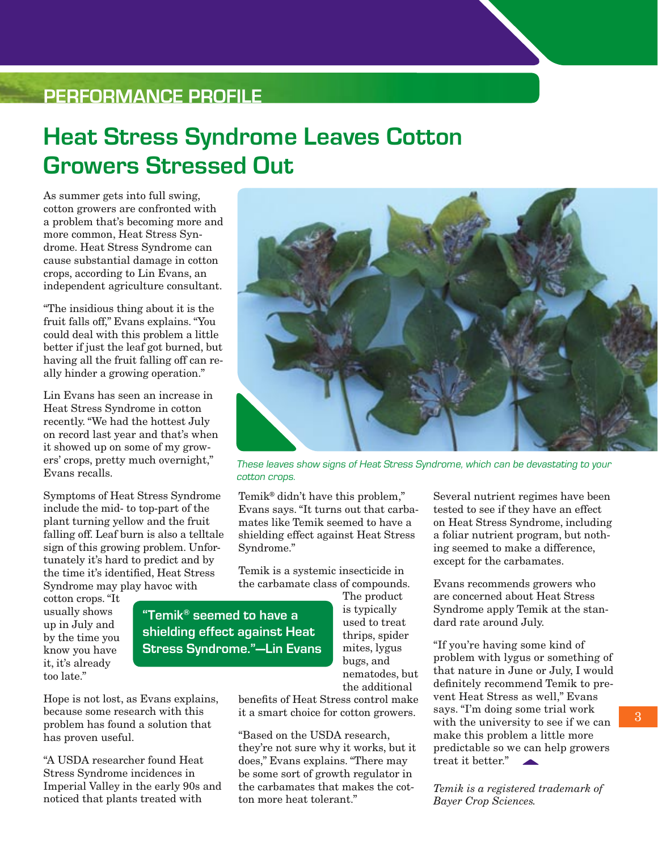## **PERFORMANCE PROFILE**

## **Heat Stress Syndrome Leaves Cotton Growers Stressed Out**

As summer gets into full swing, cotton growers are confronted with a problem that's becoming more and more common, Heat Stress Syndrome. Heat Stress Syndrome can cause substantial damage in cotton crops, according to Lin Evans, an independent agriculture consultant.

"The insidious thing about it is the fruit falls off," Evans explains. "You could deal with this problem a little better if just the leaf got burned, but having all the fruit falling off can really hinder a growing operation."

Lin Evans has seen an increase in Heat Stress Syndrome in cotton recently. "We had the hottest July on record last year and that's when it showed up on some of my growers' crops, pretty much overnight," Evans recalls.

Symptoms of Heat Stress Syndrome include the mid- to top-part of the plant turning yellow and the fruit falling off. Leaf burn is also a telltale sign of this growing problem. Unfortunately it's hard to predict and by the time it's identified, Heat Stress Syndrome may play havoc with

cotton crops. "It usually shows up in July and by the time you know you have it, it's already too late."

Hope is not lost, as Evans explains, because some research with this problem has found a solution that has proven useful.

"A USDA researcher found Heat Stress Syndrome incidences in Imperial Valley in the early 90s and noticed that plants treated with

These leaves show signs of Heat Stress Syndrome, which can be devastating to your cotton crops.

Temik® didn't have this problem," Evans says. "It turns out that carbamates like Temik seemed to have a shielding effect against Heat Stress Syndrome."

Temik is a systemic insecticide in the carbamate class of compounds.

**"Temik® seemed to have a shielding effect against Heat Stress Syndrome."—Lin Evans** The product is typically used to treat thrips, spider mites, lygus bugs, and nematodes, but the additional

benefits of Heat Stress control make it a smart choice for cotton growers.

"Based on the USDA research, they're not sure why it works, but it does," Evans explains. "There may be some sort of growth regulator in the carbamates that makes the cotton more heat tolerant."

Several nutrient regimes have been tested to see if they have an effect on Heat Stress Syndrome, including a foliar nutrient program, but nothing seemed to make a difference, except for the carbamates.

Evans recommends growers who are concerned about Heat Stress Syndrome apply Temik at the standard rate around July.

"If you're having some kind of problem with lygus or something of that nature in June or July, I would definitely recommend Temik to prevent Heat Stress as well," Evans says. "I'm doing some trial work with the university to see if we can make this problem a little more predictable so we can help growers treat it better."

*Temik is a registered trademark of Bayer Crop Sciences.*

3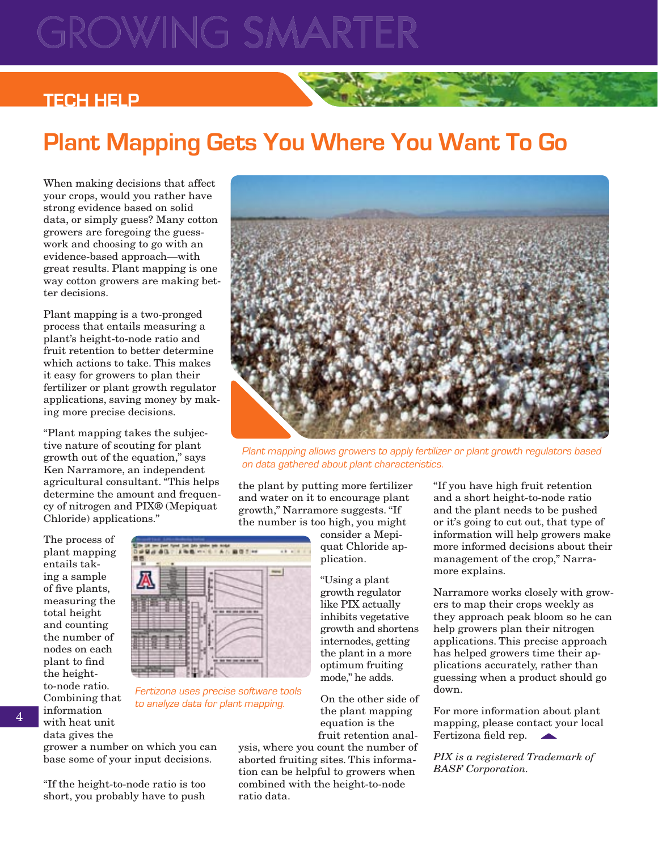# ROWING SMARTE

### **TECH HELP**

# **Plant Mapping Gets You Where You Want To Go**

When making decisions that affect your crops, would you rather have strong evidence based on solid data, or simply guess? Many cotton growers are foregoing the guesswork and choosing to go with an evidence-based approach—with great results. Plant mapping is one way cotton growers are making better decisions.

Plant mapping is a two-pronged process that entails measuring a plant's height-to-node ratio and fruit retention to better determine which actions to take. This makes it easy for growers to plan their fertilizer or plant growth regulator applications, saving money by making more precise decisions.

"Plant mapping takes the subjective nature of scouting for plant growth out of the equation," says Ken Narramore, an independent agricultural consultant. "This helps determine the amount and frequency of nitrogen and PIX® (Mepiquat Chloride) applications."

The process of plant mapping entails taking a sample of five plants, measuring the total height and counting the number of nodes on each plant to find the heightto-node ratio. Combining that information with heat unit data gives the



Fertizona uses precise software tools to analyze data for plant mapping.

grower a number on which you can base some of your input decisions.

"If the height-to-node ratio is too short, you probably have to push



Plant mapping allows growers to apply fertilizer or plant growth regulators based on data gathered about plant characteristics.

the plant by putting more fertilizer and water on it to encourage plant growth," Narramore suggests. "If the number is too high, you might

> consider a Mepiquat Chloride application.

"Using a plant growth regulator like PIX actually inhibits vegetative growth and shortens internodes, getting the plant in a more optimum fruiting mode," he adds.

On the other side of the plant mapping equation is the fruit retention anal-

ysis, where you count the number of aborted fruiting sites. This information can be helpful to growers when combined with the height-to-node ratio data.

"If you have high fruit retention and a short height-to-node ratio and the plant needs to be pushed or it's going to cut out, that type of information will help growers make more informed decisions about their management of the crop," Narramore explains.

Narramore works closely with growers to map their crops weekly as they approach peak bloom so he can help growers plan their nitrogen applications. This precise approach has helped growers time their applications accurately, rather than guessing when a product should go down.

For more information about plant mapping, please contact your local Fertizona field rep.

*PIX is a registered Trademark of BASF Corporation.*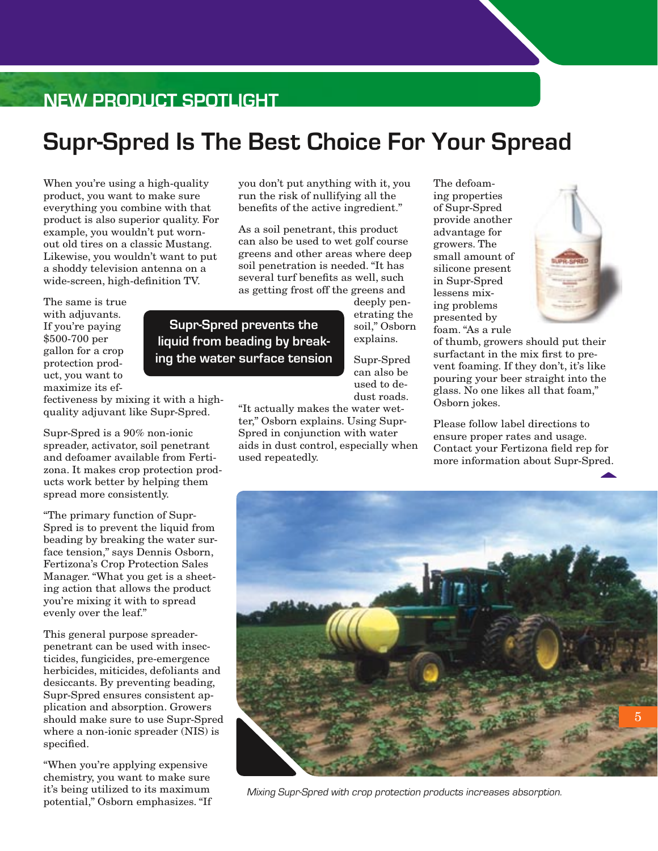## **NEW PRODUCT SPOTLIGHT**

## **Supr-Spred Is The Best Choice For Your Spread**

When you're using a high-quality product, you want to make sure everything you combine with that product is also superior quality. For example, you wouldn't put wornout old tires on a classic Mustang. Likewise, you wouldn't want to put a shoddy television antenna on a wide-screen, high-definition TV.

The same is true with adjuvants. If you're paying \$500-700 per gallon for a crop protection product, you want to maximize its efyou don't put anything with it, you run the risk of nullifying all the benefits of the active ingredient."

As a soil penetrant, this product can also be used to wet golf course greens and other areas where deep soil penetration is needed. "It has several turf benefits as well, such as getting frost off the greens and

deeply penetrating the soil," Osborn explains.

Supr-Spred can also be used to dedust roads.

"It actually makes the water wetter," Osborn explains. Using Supr-Spred in conjunction with water aids in dust control, especially when used repeatedly.

The defoaming properties of Supr-Spred provide another advantage for growers. The small amount of silicone present in Supr-Spred lessens mixing problems presented by foam. "As a rule



of thumb, growers should put their surfactant in the mix first to prevent foaming. If they don't, it's like pouring your beer straight into the glass. No one likes all that foam," Osborn jokes.

Please follow label directions to ensure proper rates and usage. Contact your Fertizona field rep for more information about Supr-Spred.



Mixing Supr-Spred with crop protection products increases absorption.

**Supr-Spred prevents the liquid from beading by breaking the water surface tension**

fectiveness by mixing it with a highquality adjuvant like Supr-Spred.

Supr-Spred is a 90% non-ionic spreader, activator, soil penetrant and defoamer available from Fertizona. It makes crop protection products work better by helping them spread more consistently.

"The primary function of Supr-Spred is to prevent the liquid from beading by breaking the water surface tension," says Dennis Osborn, Fertizona's Crop Protection Sales Manager. "What you get is a sheeting action that allows the product you're mixing it with to spread evenly over the leaf."

This general purpose spreaderpenetrant can be used with insecticides, fungicides, pre-emergence herbicides, miticides, defoliants and desiccants. By preventing beading, Supr-Spred ensures consistent application and absorption. Growers should make sure to use Supr-Spred where a non-ionic spreader (NIS) is specified.

"When you're applying expensive chemistry, you want to make sure it's being utilized to its maximum potential," Osborn emphasizes. "If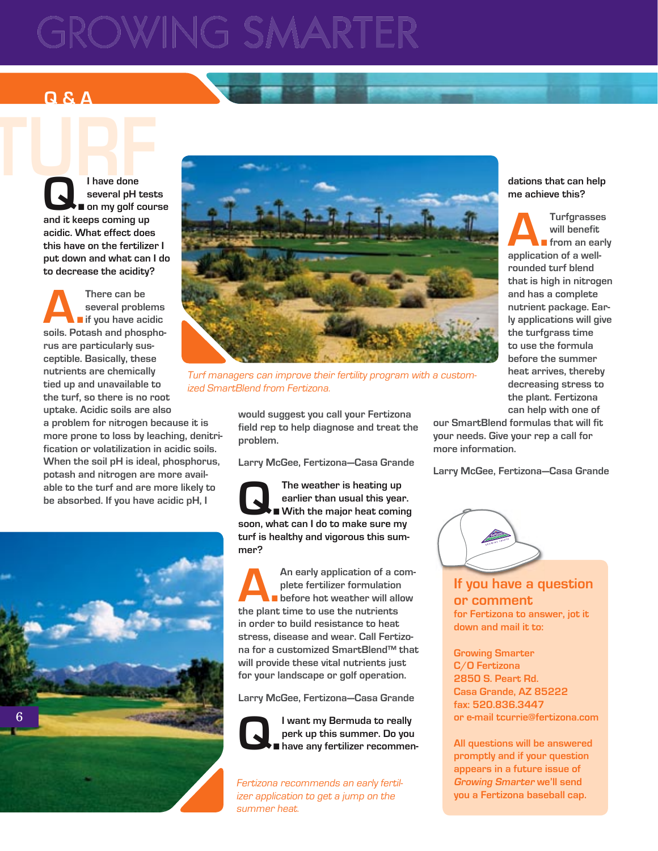# ROWING SMARTER

## **Q & A**

**TURFE OF STRAINING CONFERENCE Q.** I have done<br>
several pH tes<br>
and it keeps coming up **several pH tests on my golf course acidic. What effect does this have on the fertilizer I put down and what can I do to decrease the acidity?**

> There can be<br>
> several problems<br> **a. There** if you have acidic<br>
> soils. Potash and phospho**several problems if you have acidic rus are particularly susceptible. Basically, these nutrients are chemically tied up and unavailable to the turf, so there is no root uptake. Acidic soils are also a problem for nitrogen because it is more prone to loss by leaching, denitrification or volatilization in acidic soils. When the soil pH is ideal, phosphorus, potash and nitrogen are more available to the turf and are more likely to be absorbed. If you have acidic pH, I**





Turf managers can improve their fertility program with a customized SmartBlend from Fertizona.

**would suggest you call your Fertizona field rep to help diagnose and treat the problem.**

**Larry McGee, Fertizona—Casa Grande**

The weather is heating up<br>earlier than usual this year<br>soon what can I do to make sure my **earlier than usual this year. With the major heat coming soon, what can I do to make sure my turf is healthy and vigorous this summer?**

An early application of a complete fertilizer formulation<br> **A.A.** before hot weather will allow<br>
the plant time to use the putrients **plete fertilizer formulation before hot weather will allow the plant time to use the nutrients in order to build resistance to heat stress, disease and wear. Call Fertizona for a customized SmartBlend™ that will provide these vital nutrients just for your landscape or golf operation.**

**Larry McGee, Fertizona—Casa Grande**



**Q.** I want my Bermuda to really<br>perk up this summer. Do you<br>have any fertilizer recommer **perk up this summer. Do you have any fertilizer recommen-**

Fertizona recommends an early fertilizer application to get a jump on the summer heat.

**dations that can help me achieve this?**

**A.Turfgrasses application of a wellwill benefit from an early rounded turf blend that is high in nitrogen and has a complete nutrient package. Early applications will give the turfgrass time to use the formula before the summer heat arrives, thereby decreasing stress to the plant. Fertizona can help with one of** 

**our SmartBlend formulas that will fit your needs. Give your rep a call for more information.**

**Larry McGee, Fertizona—Casa Grande**



**If you have a question or comment for Fertizona to answer, jot it down and mail it to:**

**Growing Smarter C/O Fertizona 2850 S. Peart Rd. Casa Grande, AZ 85222 fax: 520.836.3447 or e-mail tcurrie@fertizona.com**

**All questions will be answered promptly and if your question appears in a future issue of Growing Smarter we'll send you a Fertizona baseball cap.**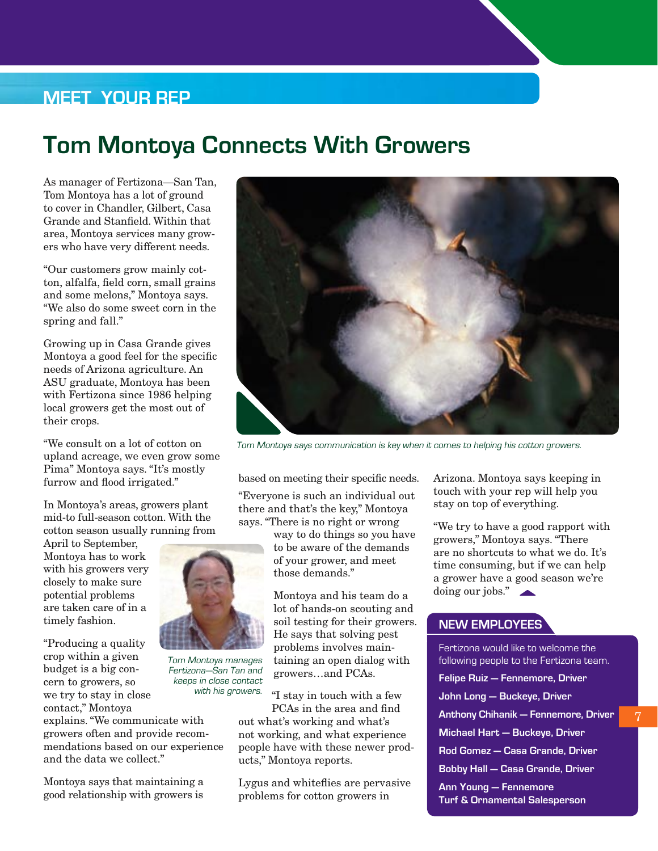## **MEET YOUR REP**

## **Tom Montoya Connects With Growers**

As manager of Fertizona—San Tan, Tom Montoya has a lot of ground to cover in Chandler, Gilbert, Casa Grande and Stanfield. Within that area, Montoya services many growers who have very different needs.

"Our customers grow mainly cotton, alfalfa, field corn, small grains and some melons," Montoya says. "We also do some sweet corn in the spring and fall."

Growing up in Casa Grande gives Montoya a good feel for the specific needs of Arizona agriculture. An ASU graduate, Montoya has been with Fertizona since 1986 helping local growers get the most out of their crops.

"We consult on a lot of cotton on upland acreage, we even grow some Pima" Montoya says. "It's mostly furrow and flood irrigated."

In Montoya's areas, growers plant mid-to full-season cotton. With the cotton season usually running from

April to September, Montoya has to work with his growers very closely to make sure potential problems are taken care of in a timely fashion.

"Producing a quality crop within a given budget is a big concern to growers, so we try to stay in close contact," Montoya

explains. "We communicate with growers often and provide recommendations based on our experience and the data we collect."

Montoya says that maintaining a good relationship with growers is



Tom Montoya says communication is key when it comes to helping his cotton growers.

based on meeting their specific needs. "Everyone is such an individual out there and that's the key," Montoya says. "There is no right or wrong

> way to do things so you have to be aware of the demands of your grower, and meet those demands."

Montoya and his team do a lot of hands-on scouting and soil testing for their growers. He says that solving pest problems involves maintaining an open dialog with growers…and PCAs.

"I stay in touch with a few PCAs in the area and find

out what's working and what's not working, and what experience people have with these newer products," Montoya reports.

Lygus and whiteflies are pervasive problems for cotton growers in

Arizona. Montoya says keeping in touch with your rep will help you stay on top of everything.

"We try to have a good rapport with growers," Montoya says. "There are no shortcuts to what we do. It's time consuming, but if we can help a grower have a good season we're doing our jobs."

#### **NEW EMPLOYEES**

| Fertizona would like to welcome the     |
|-----------------------------------------|
| following people to the Fertizona team. |
| Felipe Ruiz - Fennemore, Driver         |
| John Long — Buckeye, Driver             |
| Anthony Chihanik — Fennemore, Driver    |
| Michael Hart - Buckeye, Driver          |
| Rod Gomez — Casa Grande, Driver         |
| <b>Bobby Hall - Casa Grande, Driver</b> |
| Ann Young — Fennemore                   |



Tom Montoya manages Fertizona—San Tan and keeps in close contact with his growers.

7

**Ann Young — Fennemore Turf & Ornamental Salesperson**